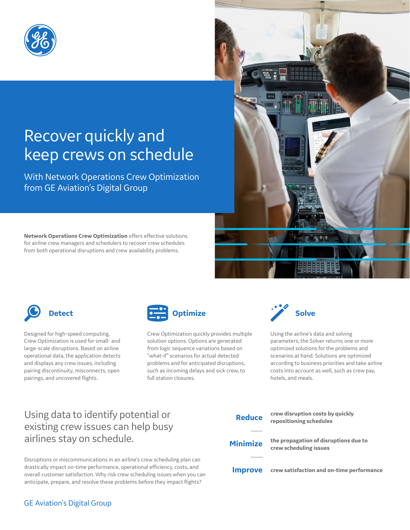

# Recover quickly and keep crews on schedule

With Network Operations Crew Optimization from GE Aviation's Digital Group

**Network Operations Crew Optimization** offers effective solutions for airline crew managers and schedulers to recover crew schedules from both operational disruptions and crew availability problems.



Designed for high-speed computing, Crew Optimization is used for small- and large-scale disruptions. Based on airline operational data, the application detects and displays any crew issues, including pairing discontinuity, misconnects, open pairings, and uncovered flights.



Crew Optimization quickly provides multiple solution options. Options are generated from logic sequence variations based on "what-if" scenarios for actual detected problems and for anticipated disruptions, such as incoming delays and sick crew, to full station closures.



Using the airline's data and solving parameters, the Solver returns one or more optimized solutions for the problems and scenarios at hand. Solutions are optimized according to business priorities and take airline costs into account as well, such as crew pay, hotels, and meals.

## Using data to identify potential or existing crew issues can help busy airlines stay on schedule.

Disruptions or miscommunications in an airline's crew scheduling plan can drastically impact on-time performance, operational efficiency, costs, and overall customer satisfaction. Why risk crew scheduling issues when you can anticipate, prepare, and resolve these problems before they impact flights?



#### GE Aviation's Digital Group